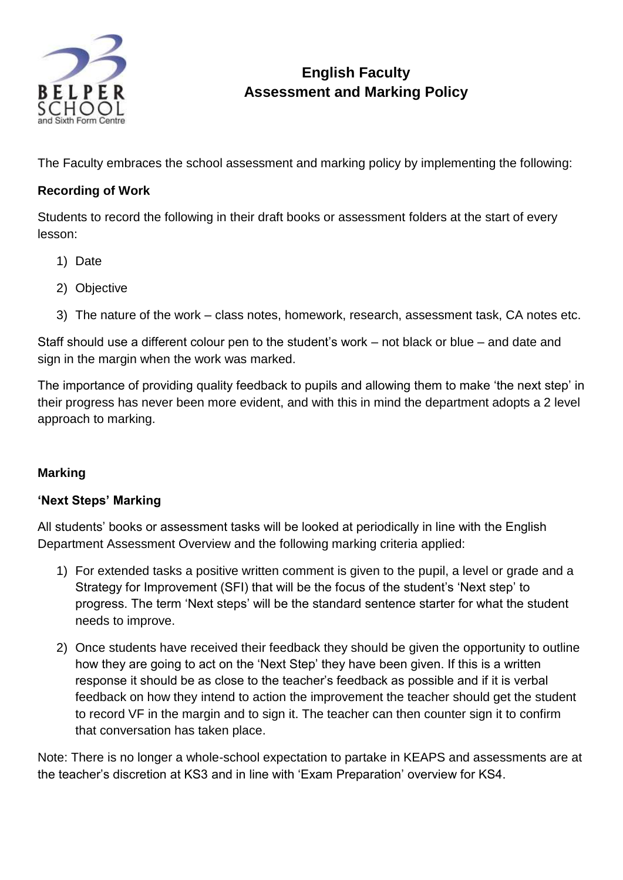

# **English Faculty Assessment and Marking Policy**

The Faculty embraces the school assessment and marking policy by implementing the following:

## **Recording of Work**

Students to record the following in their draft books or assessment folders at the start of every lesson:

- 1) Date
- 2) Objective
- 3) The nature of the work class notes, homework, research, assessment task, CA notes etc.

Staff should use a different colour pen to the student's work – not black or blue – and date and sign in the margin when the work was marked.

The importance of providing quality feedback to pupils and allowing them to make 'the next step' in their progress has never been more evident, and with this in mind the department adopts a 2 level approach to marking.

#### **Marking**

#### **'Next Steps' Marking**

All students' books or assessment tasks will be looked at periodically in line with the English Department Assessment Overview and the following marking criteria applied:

- 1) For extended tasks a positive written comment is given to the pupil, a level or grade and a Strategy for Improvement (SFI) that will be the focus of the student's 'Next step' to progress. The term 'Next steps' will be the standard sentence starter for what the student needs to improve.
- 2) Once students have received their feedback they should be given the opportunity to outline how they are going to act on the 'Next Step' they have been given. If this is a written response it should be as close to the teacher's feedback as possible and if it is verbal feedback on how they intend to action the improvement the teacher should get the student to record VF in the margin and to sign it. The teacher can then counter sign it to confirm that conversation has taken place.

Note: There is no longer a whole-school expectation to partake in KEAPS and assessments are at the teacher's discretion at KS3 and in line with 'Exam Preparation' overview for KS4.